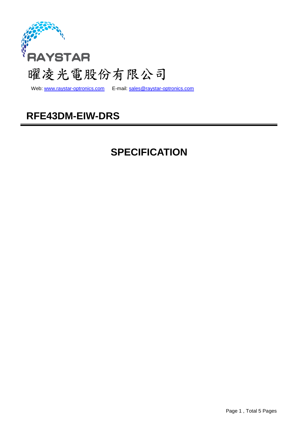

Web: www.raystar-optronics.com E-mail: sales@raystar-optronics.com

### **RFE43DM-EIW-DRS**

## **SPECIFICATION**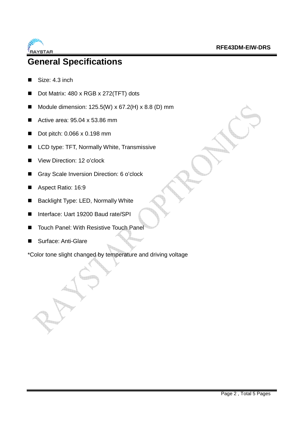

### **General Specifications**

- Size: 4.3 inch
- Dot Matrix: 480 x RGB x 272(TFT) dots
- Module dimension:  $125.5(W) \times 67.2(H) \times 8.8(D)$  mm
- Active area:  $95.04 \times 53.86$  mm
- Dot pitch: 0.066 x 0.198 mm
- LCD type: TFT, Normally White, Transmissive
- View Direction: 12 o'clock
- Gray Scale Inversion Direction: 6 o'clock
- Aspect Ratio: 16:9
- Backlight Type: LED, Normally White
- Interface: Uart 19200 Baud rate/SPI
- Touch Panel: With Resistive Touch Panel
- Surface: Anti-Glare

\*Color tone slight changed by temperature and driving voltage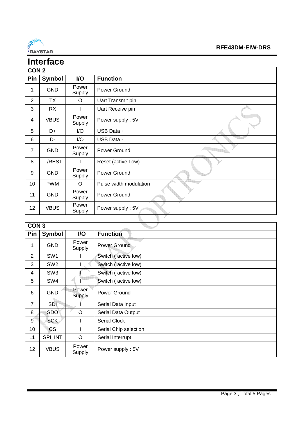

#### **RFE43DM-EIW-DRS**

#### **Interface CON 2 Pin Symbol I/O Function** 1 GND Power Power Ground 2 | TX | O | Uart Transmit pin 3 | RX | | | Uart Receive pin 4 | VBUS | Power<br>Supply t<sub>an fi</sub> 11 Power supply : 5V 5 D+ I/O USB Data + 6 D- I/O USB Data - 7 GND Power **Quin** Power Ground 8 | /REST | I | Reset (active Low) 9 GND Power Power Ground 10 | PWM | O | Pulse width modulation 11 GND Power Power Ground ħ 12 VBUS Power Power supply : 5V

à

|                | CON <sub>3</sub> |                 |                       |  |  |
|----------------|------------------|-----------------|-----------------------|--|--|
| Pin            | Symbol           | I/O             | <b>Function</b>       |  |  |
| 1              | <b>GND</b>       | Power<br>Supply | <b>Power Ground</b>   |  |  |
| $\overline{2}$ | SW <sub>1</sub>  |                 | Switch (active low)   |  |  |
| 3              | SW <sub>2</sub>  |                 | Switch (active low)   |  |  |
| 4              | SW <sub>3</sub>  |                 | Switch (active low)   |  |  |
| 5              | SW4              |                 | Switch (active low)   |  |  |
| 6              | <b>GND</b>       | Power<br>Supply | Power Ground          |  |  |
| $\overline{7}$ | <b>SDI</b>       |                 | Serial Data Input     |  |  |
| 8              | <b>SDO</b>       | O               | Serial Data Output    |  |  |
| g              | <b>SCK</b>       |                 | <b>Serial Clock</b>   |  |  |
| 10             | CS.              |                 | Serial Chip selection |  |  |
| 11             | SPI_INT          | O               | Serial Interrupt      |  |  |
| 12             | <b>VBUS</b>      | Power<br>Supply | Power supply: 5V      |  |  |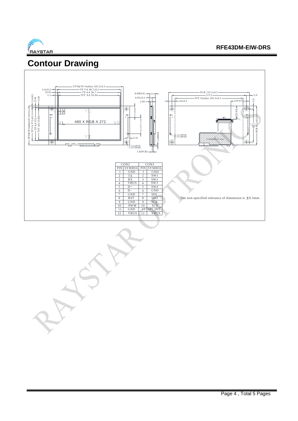

### **Contour Drawing**



The L

Page 4 , Total 5 Pages